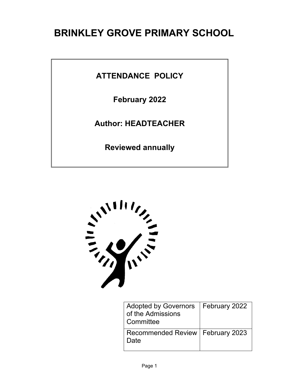# **BRINKLEY GROVE PRIMARY SCHOOL**

**ATTENDANCE POLICY**

**February 2022**

**Author: HEADTEACHER**

**Reviewed annually**



| <b>Adopted by Governors</b><br>of the Admissions<br>Committee | February 2022 |
|---------------------------------------------------------------|---------------|
| Recommended Review   February 2023<br>∣ Date                  |               |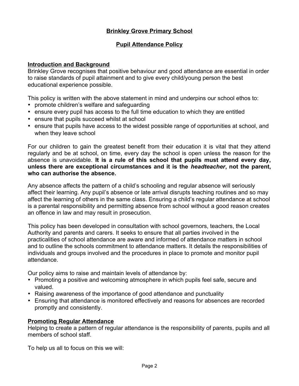# **Brinkley Grove Primary School**

# **Pupil Attendance Policy**

### **Introduction and Background**

Brinkley Grove recognises that positive behaviour and good attendance are essential in order to raise standards of pupil attainment and to give every child/young person the best educational experience possible.

This policy is written with the above statement in mind and underpins our school ethos to:

- promote children's welfare and safeguarding
- ensure every pupil has access to the full time education to which they are entitled
- ensure that pupils succeed whilst at school
- ensure that pupils have access to the widest possible range of opportunities at school, and when they leave school

For our children to gain the greatest benefit from their education it is vital that they attend regularly and be at school, on time, every day the school is open unless the reason for the absence is unavoidable. **It is a rule of this school that pupils must attend every day, unless there are exceptional circumstances and it is the** *headteacher***, not the parent, who can authorise the absence.**

Any absence affects the pattern of a child's schooling and regular absence will seriously affect their learning. Any pupil's absence or late arrival disrupts teaching routines and so may affect the learning of others in the same class. Ensuring a child's regular attendance at school is a parental responsibility and permitting absence from school without a good reason creates an offence in law and may result in prosecution.

This policy has been developed in consultation with school governors, teachers, the Local Authority and parents and carers. It seeks to ensure that all parties involved in the practicalities of school attendance are aware and informed of attendance matters in school and to outline the schools commitment to attendance matters. It details the responsibilities of individuals and groups involved and the procedures in place to promote and monitor pupil attendance.

Our policy aims to raise and maintain levels of attendance by:

- Promoting a positive and welcoming atmosphere in which pupils feel safe, secure and valued.
- Raising awareness of the importance of good attendance and punctuality
- Ensuring that attendance is monitored effectively and reasons for absences are recorded promptly and consistently.

# **Promoting Regular Attendance**

Helping to create a pattern of regular attendance is the responsibility of parents, pupils and all members of school staff.

To help us all to focus on this we will: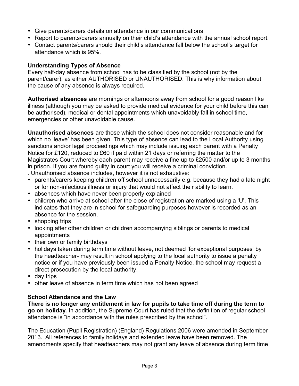- Give parents/carers details on attendance in our communications
- Report to parents/carers annually on their child's attendance with the annual school report.
- Contact parents/carers should their child's attendance fall below the school's target for attendance which is 95%.

# **Understanding Types of Absence**

Every half-day absence from school has to be classified by the school (not by the parent/carer), as either AUTHORISED or UNAUTHORISED. This is why information about the cause of any absence is always required.

**Authorised absences** are mornings or afternoons away from school for a good reason like illness (although you may be asked to provide medical evidence for your child before this can be authorised), medical or dental appointments which unavoidably fall in school time, emergencies or other unavoidable cause.

**Unauthorised absences** are those which the school does not consider reasonable and for which no 'leave' has been given. This type of absence can lead to the Local Authority using sanctions and/or legal proceedings which may include issuing each parent with a Penalty Notice for £120, reduced to £60 if paid within 21 days or referring the matter to the Magistrates Court whereby each parent may receive a fine up to £2500 and/or up to 3 months in prison. If you are found guilty in court you will receive a criminal conviction.

. Unauthorised absence includes, however it is not exhaustive:

- parents/carers keeping children off school unnecessarily e.g. because they had a late night or for non-infectious illness or injury that would not affect their ability to learn.
- absences which have never been properly explained
- children who arrive at school after the close of registration are marked using a 'U'. This indicates that they are in school for safeguarding purposes however is recorded as an absence for the session.
- shopping trips
- looking after other children or children accompanying siblings or parents to medical appointments
- their own or family birthdays
- holidays taken during term time without leave, not deemed 'for exceptional purposes' by the headteacher- may result in school applying to the local authority to issue a penalty notice or if you have previously been issued a Penalty Notice, the school may request a direct prosecution by the local authority.
- day trips
- other leave of absence in term time which has not been agreed

# **School Attendance and the Law**

**There is no longer any entitlement in law for pupils to take time off during the term to go on holiday.** In addition, the Supreme Court has ruled that the definition of regular school attendance is "in accordance with the rules prescribed by the school".

The Education (Pupil Registration) (England) Regulations 2006 were amended in September 2013. All references to family holidays and extended leave have been removed. The amendments specify that headteachers may not grant any leave of absence during term time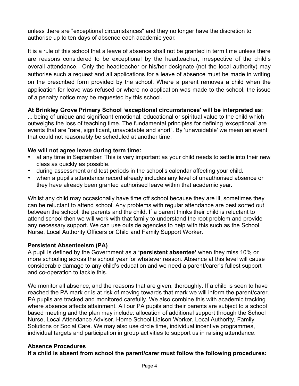unless there are "exceptional circumstances" and they no longer have the discretion to authorise up to ten days of absence each academic year.

It is a rule of this school that a leave of absence shall not be granted in term time unless there are reasons considered to be exceptional by the headteacher, irrespective of the child's overall attendance. Only the headteacher or his/her designate (not the local authority) may authorise such a request and all applications for a leave of absence must be made in writing on the prescribed form provided by the school. Where a parent removes a child when the application for leave was refused or where no application was made to the school, the issue of a penalty notice may be requested by this school.

# **At Brinkley Grove Primary School 'exceptional circumstances' will be interpreted as:**

... being of unique and significant emotional, educational or spiritual value to the child which outweighs the loss of teaching time. The fundamental principles for defining 'exceptional' are events that are "rare, significant, unavoidable and short". By 'unavoidable' we mean an event that could not reasonably be scheduled at another time.

# **We will not agree leave during term time:**

- at any time in September. This is very important as your child needs to settle into their new class as quickly as possible.
- during assessment and test periods in the school's calendar affecting your child.
- when a pupil's attendance record already includes any level of unauthorised absence or they have already been granted authorised leave within that academic year.

Whilst any child may occasionally have time off school because they are ill, sometimes they can be reluctant to attend school. Any problems with regular attendance are best sorted out between the school, the parents and the child. If a parent thinks their child is reluctant to attend school then we will work with that family to understand the root problem and provide any necessary support. We can use outside agencies to help with this such as the School Nurse, Local Authority Officers or Child and Family Support Worker.

# **Persistent Absenteeism (PA)**

A pupil is defined by the Government as a **'persistent absentee'** when they miss 10% or more schooling across the school year for whatever reason. Absence at this level will cause considerable damage to any child's education and we need a parent/carer's fullest support and co-operation to tackle this.

We monitor all absence, and the reasons that are given, thoroughly. If a child is seen to have reached the PA mark or is at risk of moving towards that mark we will inform the parent/carer. PA pupils are tracked and monitored carefully. We also combine this with academic tracking where absence affects attainment. All our PA pupils and their parents are subject to a school based meeting and the plan may include: allocation of additional support through the School Nurse, Local Attendance Adviser, Home School Liaison Worker, Local Authority, Family Solutions or Social Care. We may also use circle time, individual incentive programmes, individual targets and participation in group activities to support us in raising attendance.

# **Absence Procedures**

**If a child is absent from school the parent/carer must follow the following procedures:**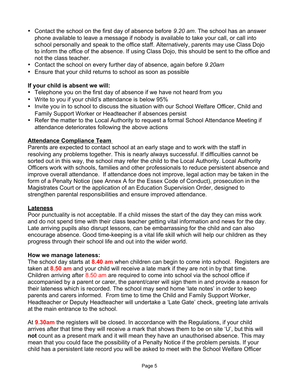- Contact the school on the first day of absence before *9.20 am*. The school has an answer phone available to leave a message if nobody is available to take your call, or call into school personally and speak to the office staff. Alternatively, parents may use Class Dojo to inform the office of the absence. If using Class Dojo, this should be sent to the office and not the class teacher.
- Contact the school on every further day of absence, again before *9.20am*
- Ensure that your child returns to school as soon as possible

# **If your child is absent we will:**

- Telephone you on the first day of absence if we have not heard from you
- Write to you if your child's attendance is below 95%
- Invite you in to school to discuss the situation with our School Welfare Officer, Child and Family Support Worker or Headteacher if absences persist
- Refer the matter to the Local Authority to request a formal School Attendance Meeting if attendance deteriorates following the above actions

# **Attendance Compliance Team**

Parents are expected to contact school at an early stage and to work with the staff in resolving any problems together. This is nearly always successful. If difficulties cannot be sorted out in this way, the school may refer the child to the Local Authority. Local Authority Officers work with schools, families and other professionals to reduce persistent absence and improve overall attendance. If attendance does not improve, legal action may be taken in the form of a Penalty Notice (see Annex A for the Essex Code of Conduct), prosecution in the Magistrates Court or the application of an Education Supervision Order, designed to strengthen parental responsibilities and ensure improved attendance.

# **Lateness**

Poor punctuality is not acceptable. If a child misses the start of the day they can miss work and do not spend time with their class teacher getting vital information and news for the day. Late arriving pupils also disrupt lessons, can be embarrassing for the child and can also encourage absence. Good time-keeping is a vital life skill which will help our children as they progress through their school life and out into the wider world.

# **How we manage lateness:**

The school day starts at **8.40 am** when children can begin to come into school. Registers are taken at **8.50 am** and your child will receive a late mark if they are not in by that time. Children arriving after 8.50 am are required to come into school via the school office if accompanied by a parent or carer, the parent/carer will sign them in and provide a reason for their lateness which is recorded. The school may send home 'late notes' in order to keep parents and carers informed. From time to time the Child and Family Support Worker, Headteacher or Deputy Headteacher will undertake a 'Late Gate' check, greeting late arrivals at the main entrance to the school.

At **9.30am** the registers will be closed. In accordance with the Regulations, if your child arrives after that time they will receive a mark that shows them to be on site 'U', but this will **not** count as a present mark and it will mean they have an unauthorised absence. This may mean that you could face the possibility of a Penalty Notice if the problem persists. If your child has a persistent late record you will be asked to meet with the School Welfare Officer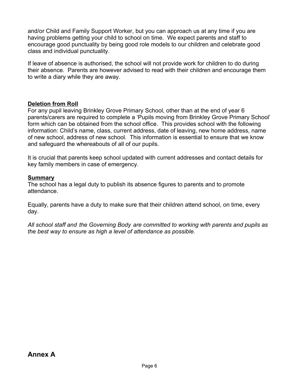and/or Child and Family Support Worker, but you can approach us at any time if you are having problems getting your child to school on time. We expect parents and staff to encourage good punctuality by being good role models to our children and celebrate good class and individual punctuality.

If leave of absence is authorised, the school will not provide work for children to do during their absence. Parents are however advised to read with their children and encourage them to write a diary while they are away.

# **Deletion from Roll**

For any pupil leaving Brinkley Grove Primary School, other than at the end of year 6 parents/carers are required to complete a 'Pupils moving from Brinkley Grove Primary School' form which can be obtained from the school office. This provides school with the following information: Child's name, class, current address, date of leaving, new home address, name of new school, address of new school. This information is essential to ensure that we know and safeguard the whereabouts of all of our pupils.

It is crucial that parents keep school updated with current addresses and contact details for key family members in case of emergency.

# **Summary**

The school has a legal duty to publish its absence figures to parents and to promote attendance.

Equally, parents have a duty to make sure that their children attend school, on time, every day.

*All school staff and the Governing Body are committed to working with parents and pupils as the best way to ensure as high a level of attendance as possible.*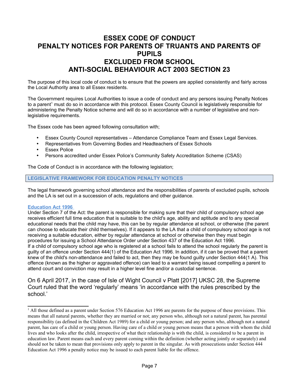# **ESSEX CODE OF CONDUCT PENALTY NOTICES FOR PARENTS OF TRUANTS AND PARENTS OF PUPILS EXCLUDED FROM SCHOOL ANTI-SOCIAL BEHAVIOUR ACT 2003 SECTION 23**

The purpose of this local code of conduct is to ensure that the powers are applied consistently and fairly across the Local Authority area to all Essex residents.

<span id="page-6-0"></span>The Government requires Local Authorities to issue a code of conduct and any persons issuing Penalty Notices to a parent<sup>[1](#page-6-1)</sup> must do so in accordance with this protocol. Essex County Council is legislatively responsible for administering the Penalty Notice scheme and will do so in accordance with a number of legislative and nonlegislative requirements.

The Essex code has been agreed following consultation with;

- Essex County Council representatives Attendance Compliance Team and Essex Legal Services.
- Representatives from Governing Bodies and Headteachers of Essex Schools
- **•** Essex Police
- Persons accredited under Essex Police's Community Safety Accreditation Scheme (CSAS)

The Code of Conduct is in accordance with the following legislation;

**LEGISLATIVE FRAMEWORK FOR EDUCATION PENALTY NOTICES** 

The legal framework governing school attendance and the responsibilities of parents of excluded pupils, schools and the LA is set out in a succession of acts, regulations and other guidance.

#### **Education Act 1996**

Under Section 7 of the Act: the parent is responsible for making sure that their child of compulsory school age receives efficient full time education that is suitable to the child's age, ability and aptitude and to any special educational needs that the child may have, this can be by regular attendance at school, or otherwise (the parent can choose to educate their child themselves). If it appears to the LA that a child of compulsory school age is not receiving a suitable education, either by regular attendance at school or otherwise then they must begin procedures for issuing a School Attendance Order under Section 437 of the Education Act 1996. If a child of compulsory school age who is registered at a school fails to attend the school regularly the parent is guilty of an offence under Section 444(1) of the Education Act 1996. In addition, if it can be proved that a parent knew of the child's non-attendance and failed to act, then they may be found guilty under Section 444(1 A). This offence (known as the higher or aggravated offence) can lead to a warrant being issued compelling a parent to attend court and conviction may result in a higher level fine and/or a custodial sentence.

On 6 April 2017, in the case of Isle of Wight Council v Platt [2017] UKSC 28, the Supreme Court ruled that the word 'regularly' means 'in accordance with the rules prescribed by the school.'

<span id="page-6-1"></span><sup>&</sup>lt;sup>[1](#page-6-0)</sup> All those defined as a parent under Section 576 Education Act 1996 are parents for the purpose of these provisions. This means that all natural parents, whether they are married or not; any person who, although not a natural parent, has parental responsibility (as defined in the Children Act 1989) for a child or young person; and any person who, although not a natural parent, has care of a child or young person. Having care of a child or young person means that a person with whom the child lives and who looks after the child, irrespective of what their relationship is with the child, is considered to be a parent in education law. Parent means each and every parent coming within the definition (whether acting jointly or separately) and should not be taken to mean that provisions only apply to parent in the singular. As with prosecutions under Section 444 Education Act 1996 a penalty notice may be issued to each parent liable for the offence.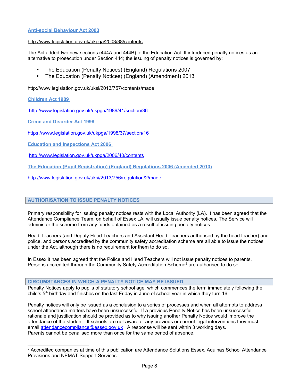### **Anti-social Behaviour Act 2003**

### <http://www.legislation.gov.uk/ukpga/2003/38/contents>

The Act added two new sections (444A and 444B) to the Education Act. It introduced penalty notices as an alternative to prosecution under Section 444; the issuing of penalty notices is governed by:

- The Education (Penalty Notices) (England) Regulations 2007
- The Education (Penalty Notices) (England) (Amendment) 2013

<http://www.legislation.gov.uk/uksi/2013/757/contents/made>

**Children Act 1989** 

<http://www.legislation.gov.uk/ukpga/1989/41/section/36>

**Crime and Disorder Act 1998** 

<https://www.legislation.gov.uk/ukpga/1998/37/section/16>

**Education and Inspections Act 2006** 

<http://www.legislation.gov.uk/ukpga/2006/40/contents>

**The Education (Pupil Registration) (England) Regulations 2006 (Amended 2013)**

<http://www.legislation.gov.uk/uksi/2013/756/regulation/2/made>

### **AUTHORISATION TO ISSUE PENALTY NOTICES**

Primary responsibility for issuing penalty notices rests with the Local Authority (LA). It has been agreed that the Attendance Compliance Team, on behalf of Essex LA, will usually issue penalty notices. The Service will administer the scheme from any funds obtained as a result of issuing penalty notices.

Head Teachers (and Deputy Head Teachers and Assistant Head Teachers authorised by the head teacher) and police, and persons accredited by the community safety accreditation scheme are all able to issue the notices under the Act, although there is no requirement for them to do so.

<span id="page-7-0"></span>In Essex it has been agreed that the Police and Head Teachers will not issue penalty notices to parents. Persons accredited through the Community Safety Accreditation Scheme<sup>[2](#page-7-1)</sup> are authorised to do so.

**CIRCUMSTANCES IN WHICH A PENALTY NOTICE MAY BE ISSUED** 

Penalty Notices apply to pupils of statutory school age, which commences the term immediately following the child's  $5<sup>th</sup>$  birthday and finishes on the last Friday in June of school year in which they turn 16.

Penalty notices will only be issued as a conclusion to a series of processes and when all attempts to address school attendance matters have been unsuccessful. If a previous Penalty Notice has been unsuccessful, rationale and justification should be provided as to why issuing another Penalty Notice would improve the attendance of the student. If schools are not aware of any previous or current legal interventions they must email [attendancecompliance@essex.gov.uk](mailto:attendancecompliance@essex.gov.uk) . A response will be sent within 3 working days. Parents cannot be penalised more than once for the same period of absence.

<span id="page-7-1"></span><sup>&</sup>lt;sup>[2](#page-7-0)</sup> Accredited companies at time of this publication are Attendance Solutions Essex, Aquinas School Attendance Provisions and NEMAT Support Services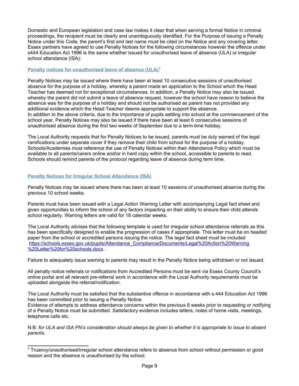Domestic and European legislation and case law makes it clear that when serving a formal Notice in criminal proceedings, the recipient must be clearly and unambiguously identified. For the Purpose of issuing a Penalty Notice under this Code, the parent's first and last name must be cited on the Notice and any covering letter. Essex partners have agreed to use Penalty Notices for the following circumstances however the offence under s444 Education Act 1996 is the same whether issued for unauthorised leave of absence (ULA) or irregular school attendance (ISA):

### <span id="page-8-0"></span> **Penalty notices for unauthorised leave of absence (ULA)<sup>3</sup>**

Penalty Notices may be issued where there have been at least 10 consecutive sessions of unauthorised absence for the purpose of a holiday, whereby a parent made an application to the School which the Head Teacher has deemed not for exceptional circumstances. In addition, a Penalty Notice may also be issued, whereby the parent did not submit a leave of absence request, however the school have reason to believe the absence was for the purpose of a holiday and should not be authorised as parent has not provided any additional evidence which the Head Teacher deems appropriate to support the absence. In addition to the above criteria, due to the importance of pupils settling into school at the commencement of the school year, Penalty Notices may also be issued if there have been at least 6 consecutive sessions of unauthorised absence during the first two weeks of September due to a term-time holiday.

The Local Authority requests that for Penalty Notices to be issued, parents must be duly warned of the legal ramifications under separate cover if they remove their child from school for the purpose of a holiday. Schools/Academies must reference the use of Penalty Notices within their Attendance Policy which must be available to all parents/carers online and/or in hard copy within the school, accessible to parents to read. Schools should remind parents of the protocol regarding leave of absence during term time.

### **Penalty Notices for Irregular School Attendance (ISA)**

Penalty Notices may be issued where there has been at least 10 sessions of unauthorised absence during the previous 10 school weeks.

Parents must have been issued with a Legal Action Warning Letter with accompanying Legal fact sheet and given opportunities to inform the school of any factors impacting on their ability to ensure their child attends school regularly. Warning letters are valid for 18 calendar weeks.

The Local Authority advises that the following template is used for irregular school attendance referrals as this has been specifically designed to enable the progression of cases if appropriate. This letter must be on headed paper from the school or accredited persons issuing the notice. The legal fact sheet must be included [https://schools.essex.gov.uk/pupils/Attendance\\_Compliance/Documents/Legal%20Action%20Warning](https://schools.essex.gov.uk/pupils/Attendance_Compliance/Documents/Legal%20Action%20Warning%20Letter%20for%20schools.docx) [%20Letter%20for%20schools.docx](https://schools.essex.gov.uk/pupils/Attendance_Compliance/Documents/Legal%20Action%20Warning%20Letter%20for%20schools.docx) .

Failure to adequately issue warning to parents may result in the Penalty Notice being withdrawn or not issued.

All penalty notice referrals or notifications from Accredited Persons must be sent via Essex County Council's online portal and all relevant pre-referral work in accordance with the Local Authority requirements must be uploaded alongside the referral/notification.

The Local Authority must be satisfied that the substantive offence in accordance with s.444 Education Act 1996 has been committed prior to issuing a Penalty Notice.

Evidence of attempts to address attendance concerns within the previous 8 weeks prior to requesting or notifying of a Penalty Notice must be submitted. Satisfactory evidence includes letters, notes of home visits, meetings, telephone calls etc.

N.B. *for ULA and ISA PN's consideration should always be given to whether it is appropriate to issue to absent parents.*

<span id="page-8-1"></span><sup>&</sup>lt;sup>[3](#page-8-0)</sup> Truancy/unauthorised/irregular school attendance refers to absence from school without permission or good reason and the absence is unauthorised by the school.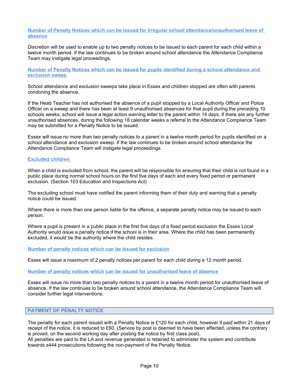### **Number of Penalty Notices which can be issued for Irregular school attendance/unauthorised leave of absence**

Discretion will be used to enable up to two penalty notices to be issued to each parent for each child within a twelve month period. If the law continues to be broken around school attendance the Attendance Compliance Team may instigate legal proceedings.

**Number of Penalty Notices which can be issued for pupils identified during a school attendance and exclusion sweep** 

School attendance and exclusion sweeps take place in Essex and children stopped are often with parents condoning the absence.

If the Head Teacher has not authorised the absence of a pupil stopped by a Local Authority Officer and Police Officer on a sweep and there has been at least 9 unauthorised absences for that pupil during the preceding 10 schools weeks, school will issue a legal action warning letter to the parent within 14 days. If there are any further unauthorised absences, during the following 18 calendar weeks a referral to the Attendance Compliance Team may be submitted for a Penalty Notice to be issued.

Essex will issue no more than two penalty notices to a parent in a twelve month period for pupils identified on a school attendance and exclusion sweep. If the law continues to be broken around school attendance the Attendance Compliance Team will instigate legal proceedings.

### **Excluded children**

When a child is excluded from school, the parent will be responsible for ensuring that their child is not found in a public place during normal school hours on the first five days of each and every fixed period or permanent exclusion. (Section 103 Education and Inspections Act)

The excluding school must have notified the parent informing them of their duty and warning that a penalty notice could be issued.

Where there is more than one person liable for the offence, a separate penalty notice may be issued to each person.

Where a pupil is present in a public place in the first five days of a fixed period exclusion the Essex Local Authority would issue a penalty notice if the school is in their area. Where the child has been permanently excluded, it would be the authority where the child resides.

### **Number of penalty notices which can be issued for exclusion**

Essex will issue a maximum of 2 penalty notices per parent for each child during a 12 month period.

#### **Number of penalty notices which can be issued for unauthorised leave of absence**

Essex will issue no more than two penalty notices to a parent in a twelve month period for unauthorised leave of absence. If the law continues to be broken around school attendance, the Attendance Compliance Team will consider further legal interventions.

### **PAYMENT OF PENALTY NOTICE**

The penalty for each parent issued with a Penalty Notice is £120 for each child, however if paid within 21 days of receipt of the notice, it is reduced to £60. (Service by post is deemed to have been effected, unless the contrary is proved, on the second working day after posting the notice by first class post).

All penalties are paid to the LA and revenue generated is retained to administer the system and contribute towards s444 prosecutions following the non-payment of the Penalty Notice.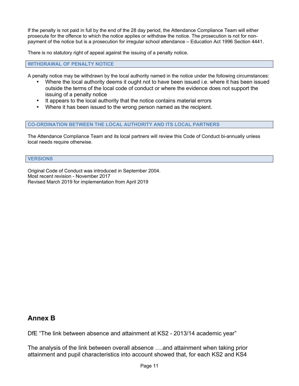If the penalty is not paid in full by the end of the 28 day period, the Attendance Compliance Team will either prosecute for the offence to which the notice applies or withdraw the notice. The prosecution is not for nonpayment of the notice but is a prosecution for irregular school attendance – Education Act 1996 Section 4441.

There is no statutory right of appeal against the issuing of a penalty notice.

**WITHDRAWAL OF PENALTY NOTICE** 

A penalty notice may be withdrawn by the local authority named in the notice under the following circumstances:

- Where the local authority deems it ought not to have been issued i.e. where it has been issued outside the terms of the local code of conduct or where the evidence does not support the issuing of a penalty notice
- It appears to the local authority that the notice contains material errors
- Where it has been issued to the wrong person named as the recipient.

### **CO-ORDINATION BETWEEN THE LOCAL AUTHORITY AND ITS LOCAL PARTNERS**

The Attendance Compliance Team and its local partners will review this Code of Conduct bi-annually unless local needs require otherwise.

### **VERSIONS**

Original Code of Conduct was introduced in September 2004. Most recent revision - November 2017 Revised March 2019 for implementation from April 2019

# **Annex B**

DfE "The link between absence and attainment at KS2 - 2013/14 academic year"

The analysis of the link between overall absence ….and attainment when taking prior attainment and pupil characteristics into account showed that, for each KS2 and KS4